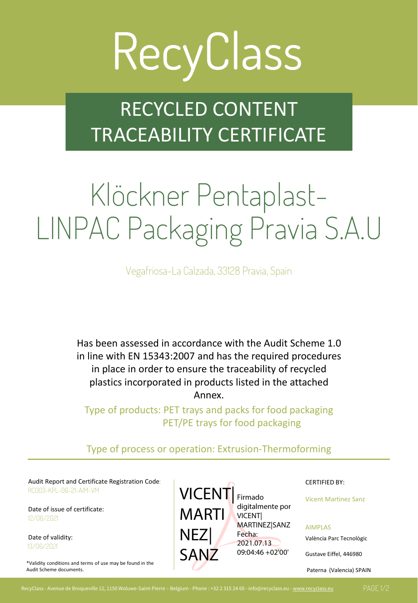# RecyClass

### RECYCLED CONTENT TRACEABILITY CERTIFICATE

## Klöckner Pentaplast-LINPAC Packaging Pravia S.A.U

Vegafriosa-La Calzada, 33128 Pravia, Spain

Has been assessed in accordance with the Audit Scheme 1.0 in line with EN 15343:2007 and has the required procedures in place in order to ensure the traceability of recycled plastics incorporated in products listed in the attached Annex.

Type of products: PET trays and packs for food packaging PET/PE trays for food packaging

#### Type of process or operation: Extrusion-Thermoforming

Audit Report and Certificate Registration Code: CERTIFIED BY: CERTIFIED BY: RC003-KPL-06-21-AIM-VM

Date of issue of certificate: 12/06/2021

Date of validity: 13/06/2021

\*Validity conditions and terms of use may be found in the Audit Scheme documents.



Vicent Martinez Sanz

AIMPLAS

València Parc Tecnològic

Gustave Eiffel, 446980

Paterna (Valencia) SPAIN